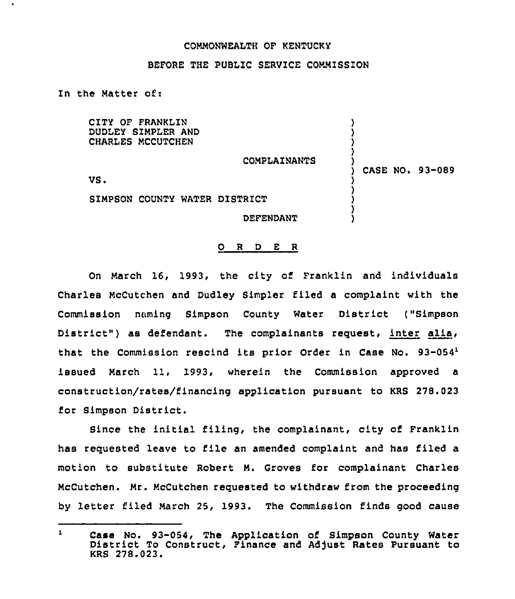## COMMONWEALTH OF KENTUCKY

## BEFORE THE PUBLIC SERVICE COMMISSION

In the Matter of:

 $\bullet$ 

CITY OF FRANKLIN DUDLEY SIMPLER AND CHARLES MCCUTCHEN

COMPLAZNANTS

) CASE NO. 93-089

) ) ) ) )

) ) ) ) )

VS <sup>~</sup>

SIMPSON COUNTY WATER DISTRICT

DEFENDANT

## 0 <sup>R</sup> <sup>D</sup> E <sup>R</sup>

On March 16, 1993, the city of Franklin and individuals Charles McCutchen and Dudley Simpler filed a complaint with the Commission naming Simpson County Water District ("Simpson District") as defendant. The complainants request, inter alia, that the Commission rescind its prior Order in Case No. 93-054<sup>1</sup> issued March 11, 1993, wherein the Commission approved a construction/rates/financing application pursuant to KRS 278.023 for Simpson District.

Since the initial filing, the complainant, city of Franklin has requested leave to file an amended complaint and has filed a motion to substitute Robert M. Groves for complainant Charles McCutchen. Mr. McCutchen requested to withdraw from the proceeding by letter filed March 25, 1993. The Commission finds good cause

 $\mathbf{1}$ Case No. 93-054, The Application of Simpson County Water District To Construct, Finance and Adjust Rates Pursuant to KRS 279.023.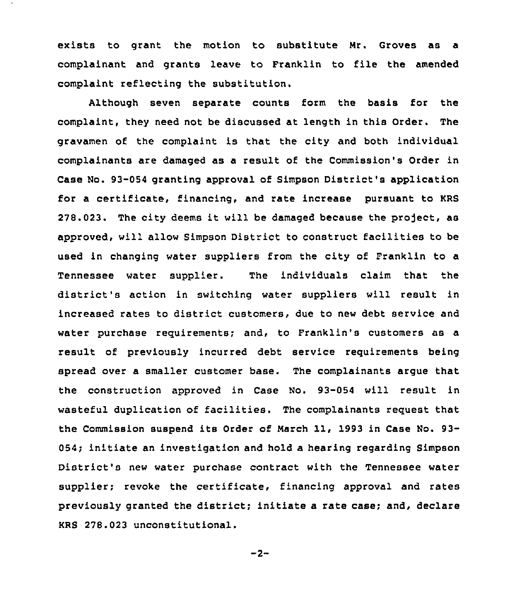exists to grant the motion to substitute Mr. Groves as a complainant and grants leave to Franklin to file the amended complaint reflecting the substitution.

Although seven separate counts form the basis for the complaint, they need not be discussed at length in this Order. The gravamen of the complaint is that the city and both individual complainants are damaged as a result of the Commission's Order in Case No. 93-054 granting approval of Simpson District's application for a certificate, financing, and rate increase pursuant to KRS  $278.023$ . The city deems it will be damaged because the project, as approved, will allow Simpson District to construct facilities to be used in changing water suppliers from the city of Franklin to a Tennessee water supplier. The individuals claim that the district's action in switching water suppliers will result in increased rates to district customers, due to new debt service and water purchase requirements; and, to Franklin's customers as a result of previously incurred debt service requirements being spread over a smaller customer base. The complainants argue that the construction approved in Case No. 93-054 will result in wasteful duplication of facilities. The complainants request that the Commission suspend its Order of March ll, <sup>1993</sup> in Case No. 93- 054; initiate an investigation and hold a hearing regarding Simpson District's new water purchase contract with the Tennessee water supplier; revoke the certificate, financing approval and rates previously granted the district; initiate a rate case; and, declare KRS 278.023 unconstitutional.

 $-2-$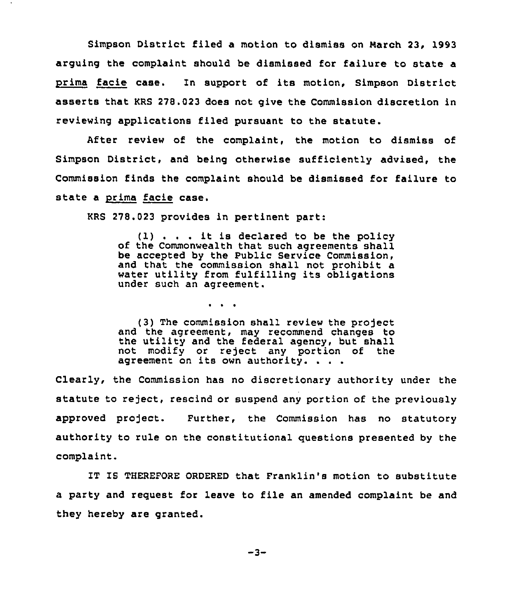Simpson District flied a motion to dismiss on march 23, 1993 arguing the complaint should be dismissed for failure to state a prima facie case. In support of its motion, Simpson District asserts that KRS 278.023 does not give the Commission discretion in reviewing applications filed pursuant to the statute.

After review of the complaint, the motion to dismiss of Simpson District, and being otherwise sufficiently advised, the Commission finds the complaint should be dismissed for failure to state a prima facie case.

KRS 278.023 provides in pertinent part:

 $\sim$   $\sim$   $\sim$ 

(1) . . . it is declared to be the policy of the Commonwealth that such agreements shall be accepted by the Public Service Commission, and that the commission shall not prohibit a water utility from fulfilling its obligations under such an agreement.

(3) The commission shall review the project and the agreement, may recommend changes to the utility and the federal agency, but shall not modify or reject any portion of the agreement on its own authority. . . .

Clearly, the Commission has no discretionary authority under the statute to reject, rescind or suspend any portion of the previously approved project. Further, the Commission has no statutory authority to rule on the constitutional questions presented by the complaint.

IT IS THEREFORE ORDERED that Franklin's motion to substitute a party and request for leave to file an amended complaint be and they hereby are granted.